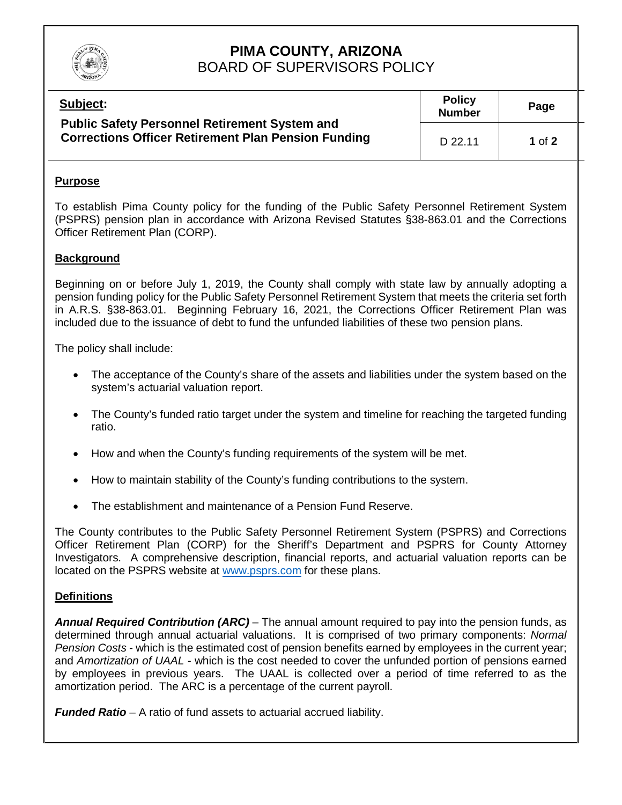

# **PIMA COUNTY, ARIZONA** BOARD OF SUPERVISORS POLICY

| Subject:                                                                                                           | <b>Policy</b><br><b>Number</b> | Page       |  |
|--------------------------------------------------------------------------------------------------------------------|--------------------------------|------------|--|
| <b>Public Safety Personnel Retirement System and</b><br><b>Corrections Officer Retirement Plan Pension Funding</b> | D 22.11                        | $1$ of $2$ |  |

### **Purpose**

To establish Pima County policy for the funding of the Public Safety Personnel Retirement System (PSPRS) pension plan in accordance with Arizona Revised Statutes §38-863.01 and the Corrections Officer Retirement Plan (CORP).

### **Background**

Beginning on or before July 1, 2019, the County shall comply with state law by annually adopting a pension funding policy for the Public Safety Personnel Retirement System that meets the criteria set forth in A.R.S. §38-863.01. Beginning February 16, 2021, the Corrections Officer Retirement Plan was included due to the issuance of debt to fund the unfunded liabilities of these two pension plans.

The policy shall include:

- The acceptance of the County's share of the assets and liabilities under the system based on the system's actuarial valuation report.
- The County's funded ratio target under the system and timeline for reaching the targeted funding ratio.
- How and when the County's funding requirements of the system will be met.
- How to maintain stability of the County's funding contributions to the system.
- The establishment and maintenance of a Pension Fund Reserve.

The County contributes to the Public Safety Personnel Retirement System (PSPRS) and Corrections Officer Retirement Plan (CORP) for the Sheriff's Department and PSPRS for County Attorney Investigators. A comprehensive description, financial reports, and actuarial valuation reports can be located on the PSPRS website at [www.psprs.com](http://www.psprs.com/) for these plans.

#### **Definitions**

*Annual Required Contribution (ARC)* – The annual amount required to pay into the pension funds, as determined through annual actuarial valuations. It is comprised of two primary components: *Normal Pension Costs* - which is the estimated cost of pension benefits earned by employees in the current year; and *Amortization of UAAL* - which is the cost needed to cover the unfunded portion of pensions earned by employees in previous years. The UAAL is collected over a period of time referred to as the amortization period. The ARC is a percentage of the current payroll.

*Funded Ratio* – A ratio of fund assets to actuarial accrued liability.